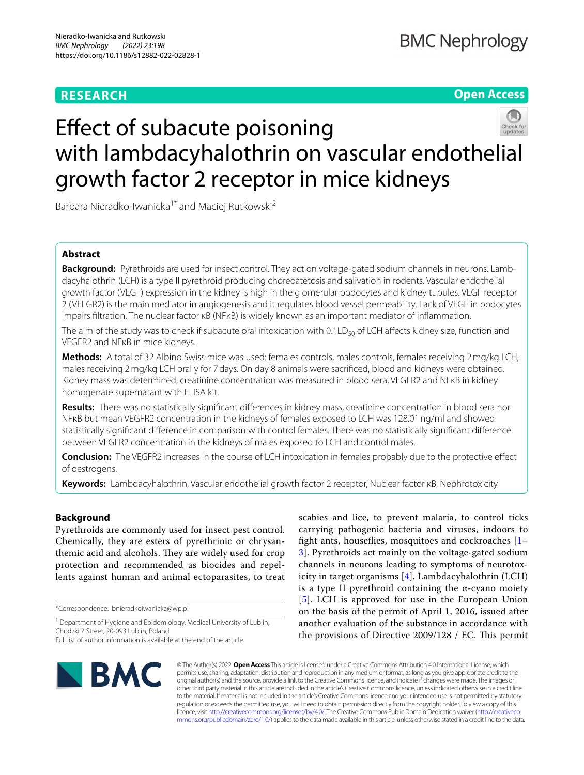# **RESEARCH**

# **Open Access**



# Effect of subacute poisoning with lambdacyhalothrin on vascular endothelial growth factor 2 receptor in mice kidneys

Barbara Nieradko-Iwanicka<sup>1\*</sup> and Maciej Rutkowski<sup>2</sup>

# **Abstract**

**Background:** Pyrethroids are used for insect control. They act on voltage-gated sodium channels in neurons. Lambdacyhalothrin (LCH) is a type II pyrethroid producing choreoatetosis and salivation in rodents. Vascular endothelial growth factor (VEGF) expression in the kidney is high in the glomerular podocytes and kidney tubules. VEGF receptor 2 (VEFGR2) is the main mediator in angiogenesis and it regulates blood vessel permeability. Lack of VEGF in podocytes impairs fltration. The nuclear factor κB (NFκB) is widely known as an important mediator of infammation.

The aim of the study was to check if subacute oral intoxication with 0.1LD<sub>50</sub> of LCH affects kidney size, function and VEGFR2 and NFκB in mice kidneys.

**Methods:** A total of 32 Albino Swiss mice was used: females controls, males controls, females receiving 2mg/kg LCH, males receiving 2mg/kg LCH orally for 7days. On day 8 animals were sacrifced, blood and kidneys were obtained. Kidney mass was determined, creatinine concentration was measured in blood sera, VEGFR2 and NFκB in kidney homogenate supernatant with ELISA kit.

**Results:** There was no statistically signifcant diferences in kidney mass, creatinine concentration in blood sera nor NFκB but mean VEGFR2 concentration in the kidneys of females exposed to LCH was 128.01ng/ml and showed statistically signifcant diference in comparison with control females. There was no statistically signifcant diference between VEGFR2 concentration in the kidneys of males exposed to LCH and control males.

**Conclusion:** The VEGFR2 increases in the course of LCH intoxication in females probably due to the protective efect of oestrogens.

**Keywords:** Lambdacyhalothrin, Vascular endothelial growth factor 2 receptor, Nuclear factor κB, Nephrotoxicity

# **Background**

Pyrethroids are commonly used for insect pest control. Chemically, they are esters of pyrethrinic or chrysanthemic acid and alcohols. They are widely used for crop protection and recommended as biocides and repellents against human and animal ectoparasites, to treat

\*Correspondence: bnieradkoiwanicka@wp.pl

<sup>1</sup> Department of Hygiene and Epidemiology, Medical University of Lublin, Chodzki 7 Street, 20‑093 Lublin, Poland

scabies and lice, to prevent malaria, to control ticks carrying pathogenic bacteria and viruses, indoors to fight ants, houseflies, mosquitoes and cockroaches  $[1-$ [3\]](#page-4-1). Pyrethroids act mainly on the voltage-gated sodium channels in neurons leading to symptoms of neurotoxicity in target organisms [[4\]](#page-4-2). Lambdacyhalothrin (LCH) is a type II pyrethroid containing the α-cyano moiety [[5](#page-4-3)]. LCH is approved for use in the European Union on the basis of the permit of April 1, 2016, issued after another evaluation of the substance in accordance with the provisions of Directive 2009/128 / EC. This permit



© The Author(s) 2022. **Open Access** This article is licensed under a Creative Commons Attribution 4.0 International License, which permits use, sharing, adaptation, distribution and reproduction in any medium or format, as long as you give appropriate credit to the original author(s) and the source, provide a link to the Creative Commons licence, and indicate if changes were made. The images or other third party material in this article are included in the article's Creative Commons licence, unless indicated otherwise in a credit line to the material. If material is not included in the article's Creative Commons licence and your intended use is not permitted by statutory regulation or exceeds the permitted use, you will need to obtain permission directly from the copyright holder. To view a copy of this licence, visit [http://creativecommons.org/licenses/by/4.0/.](http://creativecommons.org/licenses/by/4.0/) The Creative Commons Public Domain Dedication waiver ([http://creativeco](http://creativecommons.org/publicdomain/zero/1.0/) [mmons.org/publicdomain/zero/1.0/](http://creativecommons.org/publicdomain/zero/1.0/)) applies to the data made available in this article, unless otherwise stated in a credit line to the data.

Full list of author information is available at the end of the article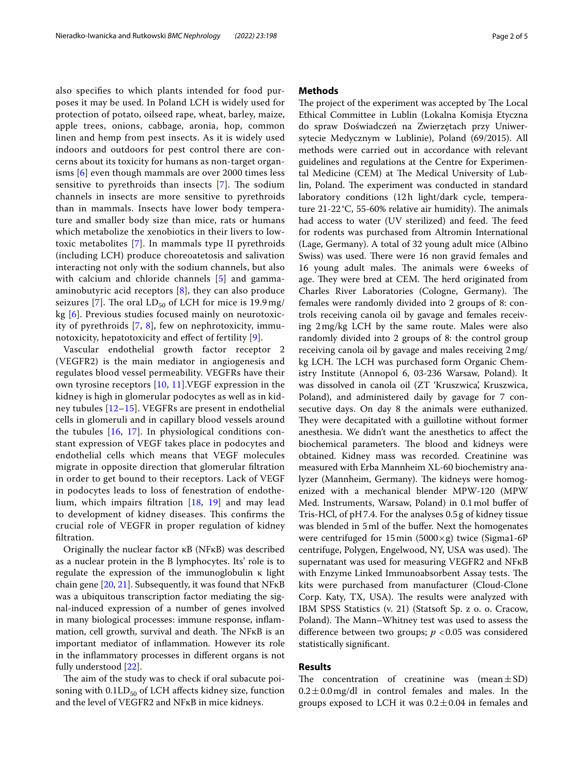also specifes to which plants intended for food purposes it may be used. In Poland LCH is widely used for protection of potato, oilseed rape, wheat, barley, maize, apple trees, onions, cabbage, aronia, hop, common linen and hemp from pest insects. As it is widely used indoors and outdoors for pest control there are concerns about its toxicity for humans as non-target organisms [[6\]](#page-4-4) even though mammals are over 2000 times less sensitive to pyrethroids than insects  $[7]$  $[7]$  $[7]$ . The sodium channels in insects are more sensitive to pyrethroids than in mammals. Insects have lower body temperature and smaller body size than mice, rats or humans which metabolize the xenobiotics in their livers to lowtoxic metabolites [\[7](#page-4-5)]. In mammals type II pyrethroids (including LCH) produce choreoatetosis and salivation interacting not only with the sodium channels, but also with calcium and chloride channels [[5\]](#page-4-3) and gammaaminobutyric acid receptors [[8](#page-4-6)], they can also produce seizures [[7\]](#page-4-5). The oral  $LD_{50}$  of LCH for mice is 19.9 mg/ kg [[6](#page-4-4)]. Previous studies focused mainly on neurotoxic-

notoxicity, hepatotoxicity and efect of fertility [[9\]](#page-4-7). Vascular endothelial growth factor receptor 2 (VEGFR2) is the main mediator in angiogenesis and regulates blood vessel permeability. VEGFRs have their own tyrosine receptors [[10](#page-4-8), [11](#page-4-9)].VEGF expression in the kidney is high in glomerular podocytes as well as in kidney tubules [[12–](#page-4-10)[15](#page-4-11)]. VEGFRs are present in endothelial cells in glomeruli and in capillary blood vessels around the tubules [[16](#page-4-12), [17\]](#page-4-13). In physiological conditions constant expression of VEGF takes place in podocytes and endothelial cells which means that VEGF molecules migrate in opposite direction that glomerular fltration in order to get bound to their receptors. Lack of VEGF in podocytes leads to loss of fenestration of endothelium, which impairs fltration [[18](#page-4-14), [19](#page-4-15)] and may lead to development of kidney diseases. This confirms the crucial role of VEGFR in proper regulation of kidney fltration.

ity of pyrethroids [[7,](#page-4-5) [8\]](#page-4-6), few on nephrotoxicity, immu-

Originally the nuclear factor κB (NFκB) was described as a nuclear protein in the B lymphocytes. Its' role is to regulate the expression of the immunoglobulin κ light chain gene [[20,](#page-4-16) [21\]](#page-4-17). Subsequently, it was found that NFκB was a ubiquitous transcription factor mediating the signal-induced expression of a number of genes involved in many biological processes: immune response, infammation, cell growth, survival and death. The  $NFKB$  is an important mediator of infammation. However its role in the infammatory processes in diferent organs is not fully understood [[22](#page-4-18)].

The aim of the study was to check if oral subacute poisoning with  $0.1LD_{50}$  of LCH affects kidney size, function and the level of VEGFR2 and NFκB in mice kidneys.

The project of the experiment was accepted by The Local Ethical Committee in Lublin (Lokalna Komisja Etyczna do spraw Doświadczeń na Zwierzętach przy Uniwersytecie Medycznym w Lublinie), Poland (69/2015). All methods were carried out in accordance with relevant guidelines and regulations at the Centre for Experimental Medicine (CEM) at The Medical University of Lublin, Poland. The experiment was conducted in standard laboratory conditions (12h light/dark cycle, temperature  $21-22$ °C, 55-60% relative air humidity). The animals had access to water (UV sterilized) and feed. The feed for rodents was purchased from Altromin International (Lage, Germany). A total of 32 young adult mice (Albino Swiss) was used. There were 16 non gravid females and 16 young adult males. The animals were 6 weeks of age. They were bred at CEM. The herd originated from Charles River Laboratories (Cologne, Germany). The females were randomly divided into 2 groups of 8: controls receiving canola oil by gavage and females receiving 2mg/kg LCH by the same route. Males were also randomly divided into 2 groups of 8: the control group receiving canola oil by gavage and males receiving 2mg/ kg LCH. The LCH was purchased form Organic Chemistry Institute (Annopol 6, 03-236 Warsaw, Poland). It was dissolved in canola oil (ZT 'Kruszwica', Kruszwica, Poland), and administered daily by gavage for 7 consecutive days. On day 8 the animals were euthanized. They were decapitated with a guillotine without former anesthesia. We didn't want the anesthetics to afect the biochemical parameters. The blood and kidneys were obtained. Kidney mass was recorded. Creatinine was measured with Erba Mannheim XL-60 biochemistry analyzer (Mannheim, Germany). The kidneys were homogenized with a mechanical blender MPW-120 (MPW Med. Instruments, Warsaw, Poland) in 0.1mol bufer of Tris-HCl, of pH7.4. For the analyses 0.5g of kidney tissue was blended in 5 ml of the buffer. Next the homogenates were centrifuged for 15 min (5000 $\times$ g) twice (Sigma1-6P centrifuge, Polygen, Engelwood, NY, USA was used). The supernatant was used for measuring VEGFR2 and NFκB with Enzyme Linked Immunoabsorbent Assay tests. The kits were purchased from manufacturer (Cloud-Clone Corp. Katy, TX, USA). The results were analyzed with IBM SPSS Statistics (v. 21) (Statsoft Sp. z o. o. Cracow, Poland). The Mann–Whitney test was used to assess the difference between two groups;  $p < 0.05$  was considered statistically signifcant.

# **Results**

The concentration of creatinine was (mean $\pm$ SD)  $0.2 \pm 0.0$  mg/dl in control females and males. In the groups exposed to LCH it was  $0.2 \pm 0.04$  in females and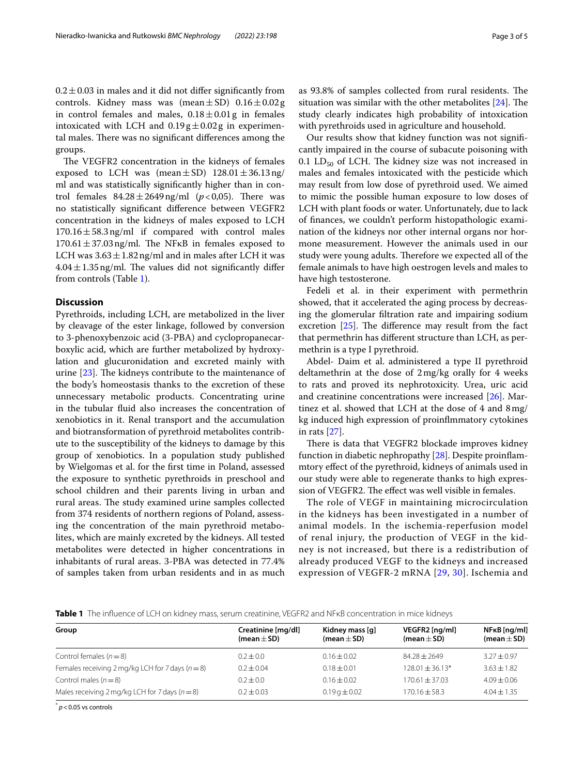$0.2 \pm 0.03$  in males and it did not differ significantly from controls. Kidney mass was (mean $\pm$ SD)  $0.16\pm0.02$  g in control females and males,  $0.18 \pm 0.01$  g in females intoxicated with LCH and  $0.19g \pm 0.02g$  in experimental males. There was no significant differences among the groups.

The VEGFR2 concentration in the kidneys of females exposed to LCH was (mean $\pm$ SD) 128.01 $\pm$ 36.13ng/ ml and was statistically signifcantly higher than in control females  $84.28 \pm 2649$ ng/ml ( $p < 0.05$ ). There was no statistically signifcant diference between VEGFR2 concentration in the kidneys of males exposed to LCH  $170.16 \pm 58.3$  ng/ml if compared with control males  $170.61 \pm 37.03$  ng/ml. The NF<sub>KB</sub> in females exposed to LCH was  $3.63 \pm 1.82$  ng/ml and in males after LCH it was  $4.04 \pm 1.35$  ng/ml. The values did not significantly differ from controls (Table [1\)](#page-2-0).

## **Discussion**

Pyrethroids, including LCH, are metabolized in the liver by cleavage of the ester linkage, followed by conversion to 3-phenoxybenzoic acid (3-PBA) and cyclopropanecarboxylic acid, which are further metabolized by hydroxylation and glucuronidation and excreted mainly with urine  $[23]$  $[23]$ . The kidneys contribute to the maintenance of the body's homeostasis thanks to the excretion of these unnecessary metabolic products. Concentrating urine in the tubular fuid also increases the concentration of xenobiotics in it. Renal transport and the accumulation and biotransformation of pyrethroid metabolites contribute to the susceptibility of the kidneys to damage by this group of xenobiotics. In a population study published by Wielgomas et al. for the frst time in Poland, assessed the exposure to synthetic pyrethroids in preschool and school children and their parents living in urban and rural areas. The study examined urine samples collected from 374 residents of northern regions of Poland, assessing the concentration of the main pyrethroid metabolites, which are mainly excreted by the kidneys. All tested metabolites were detected in higher concentrations in inhabitants of rural areas. 3-PBA was detected in 77.4% of samples taken from urban residents and in as much as 93.8% of samples collected from rural residents. The situation was similar with the other metabolites  $[24]$  $[24]$ . The study clearly indicates high probability of intoxication with pyrethroids used in agriculture and household.

Our results show that kidney function was not signifcantly impaired in the course of subacute poisoning with 0.1  $LD_{50}$  of LCH. The kidney size was not increased in males and females intoxicated with the pesticide which may result from low dose of pyrethroid used. We aimed to mimic the possible human exposure to low doses of LCH with plant foods or water. Unfortunately, due to lack of fnances, we couldn't perform histopathologic examination of the kidneys nor other internal organs nor hormone measurement. However the animals used in our study were young adults. Therefore we expected all of the female animals to have high oestrogen levels and males to have high testosterone.

Fedeli et al. in their experiment with permethrin showed, that it accelerated the aging process by decreasing the glomerular fltration rate and impairing sodium excretion  $[25]$  $[25]$ . The difference may result from the fact that permethrin has diferent structure than LCH, as permethrin is a type I pyrethroid.

Abdel- Daim et al. administered a type II pyrethroid deltamethrin at the dose of 2mg/kg orally for 4 weeks to rats and proved its nephrotoxicity. Urea, uric acid and creatinine concentrations were increased [\[26](#page-4-22)]. Martinez et al. showed that LCH at the dose of 4 and 8mg/ kg induced high expression of proinfmmatory cytokines in rats [[27\]](#page-4-23).

There is data that VEGFR2 blockade improves kidney function in diabetic nephropathy [[28\]](#page-4-24). Despite proinfammtory efect of the pyrethroid, kidneys of animals used in our study were able to regenerate thanks to high expression of VEGFR2. The effect was well visible in females.

The role of VEGF in maintaining microcirculation in the kidneys has been investigated in a number of animal models. In the ischemia-reperfusion model of renal injury, the production of VEGF in the kidney is not increased, but there is a redistribution of already produced VEGF to the kidneys and increased expression of VEGFR-2 mRNA [[29](#page-4-25), [30](#page-4-26)]. Ischemia and

<span id="page-2-0"></span>**Table 1** The infuence of LCH on kidney mass, serum creatinine, VEGFR2 and NFκB concentration in mice kidneys

| Group                                                          | Creatinine [mg/dl]<br>(mean $\pm$ SD) | Kidney mass [q]<br>(mean $\pm$ SD) | VEGFR2 [ng/ml]<br>(mean $\pm$ SD) | NF <sub>K</sub> B [ng/ml]<br>(mean $\pm$ SD) |
|----------------------------------------------------------------|---------------------------------------|------------------------------------|-----------------------------------|----------------------------------------------|
| Control females $(n=8)$                                        | $0.2 + 0.0$                           | $0.16 \pm 0.02$                    | $84.28 + 2649$                    | $3.27 \pm 0.97$                              |
| Females receiving $2 \text{ mg/kg}$ LCH for 7 days ( $n = 8$ ) | $0.2 + 0.04$                          | $0.18 + 0.01$                      | $128.01 + 36.13*$                 | $3.63 + 1.82$                                |
| Control males $(n=8)$                                          | $0.2 + 0.0$                           | $0.16 \pm 0.02$                    | $170.61 \pm 37.03$                | $4.09 + 0.06$                                |
| Males receiving $2 \text{mg/kg}$ LCH for 7 days ( $n = 8$ )    | $0.2 + 0.03$                          | $0.19q \pm 0.02$                   | $170.16 + 58.3$                   | $4.04 \pm 1.35$                              |

 $p$  < 0.05 vs controls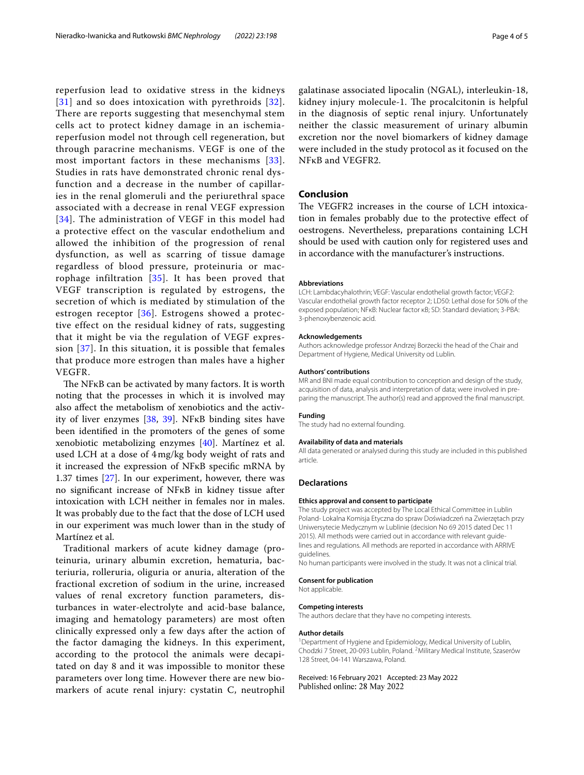reperfusion lead to oxidative stress in the kidneys [[31\]](#page-4-27) and so does intoxication with pyrethroids [[32\]](#page-4-28). There are reports suggesting that mesenchymal stem cells act to protect kidney damage in an ischemiareperfusion model not through cell regeneration, but through paracrine mechanisms. VEGF is one of the most important factors in these mechanisms [[33\]](#page-4-29). Studies in rats have demonstrated chronic renal dysfunction and a decrease in the number of capillaries in the renal glomeruli and the periurethral space associated with a decrease in renal VEGF expression [[34\]](#page-4-30). The administration of VEGF in this model had a protective effect on the vascular endothelium and allowed the inhibition of the progression of renal dysfunction, as well as scarring of tissue damage regardless of blood pressure, proteinuria or macrophage infiltration [[35\]](#page-4-31). It has been proved that VEGF transcription is regulated by estrogens, the secretion of which is mediated by stimulation of the estrogen receptor [[36](#page-4-32)]. Estrogens showed a protective effect on the residual kidney of rats, suggesting that it might be via the regulation of VEGF expression [[37](#page-4-33)]. In this situation, it is possible that females that produce more estrogen than males have a higher VEGFR.

The NFKB can be activated by many factors. It is worth noting that the processes in which it is involved may also afect the metabolism of xenobiotics and the activity of liver enzymes [\[38](#page-4-34), [39\]](#page-4-35). NFκB binding sites have been identifed in the promoters of the genes of some xenobiotic metabolizing enzymes [[40\]](#page-4-36). Martínez et al. used LCH at a dose of 4mg/kg body weight of rats and it increased the expression of NFκB specifc mRNA by 1.37 times [[27\]](#page-4-23). In our experiment, however, there was no signifcant increase of NFκB in kidney tissue after intoxication with LCH neither in females nor in males. It was probably due to the fact that the dose of LCH used in our experiment was much lower than in the study of Martínez et al.

Traditional markers of acute kidney damage (proteinuria, urinary albumin excretion, hematuria, bacteriuria, rolleruria, oliguria or anuria, alteration of the fractional excretion of sodium in the urine, increased values of renal excretory function parameters, disturbances in water-electrolyte and acid-base balance, imaging and hematology parameters) are most often clinically expressed only a few days after the action of the factor damaging the kidneys. In this experiment, according to the protocol the animals were decapitated on day 8 and it was impossible to monitor these parameters over long time. However there are new biomarkers of acute renal injury: cystatin C, neutrophil

galatinase associated lipocalin (NGAL), interleukin-18, kidney injury molecule-1. The procalcitonin is helpful in the diagnosis of septic renal injury. Unfortunately neither the classic measurement of urinary albumin excretion nor the novel biomarkers of kidney damage were included in the study protocol as it focused on the

## **Conclusion**

NFκB and VEGFR2.

The VEGFR2 increases in the course of LCH intoxication in females probably due to the protective efect of oestrogens. Nevertheless, preparations containing LCH should be used with caution only for registered uses and in accordance with the manufacturer's instructions.

#### **Abbreviations**

LCH: Lambdacyhalothrin; VEGF: Vascular endothelial growth factor; VEGF2: Vascular endothelial growth factor receptor 2; LD50: Lethal dose for 50% of the exposed population; NFκB: Nuclear factor κB; SD: Standard deviation; 3-PBA: 3-phenoxybenzenoic acid.

## **Acknowledgements**

Authors acknowledge professor Andrzej Borzecki the head of the Chair and Department of Hygiene, Medical University od Lublin.

#### **Authors' contributions**

MR and BNI made equal contribution to conception and design of the study, acquisition of data, analysis and interpretation of data; were involved in preparing the manuscript. The author(s) read and approved the fnal manuscript.

## **Funding**

The study had no external founding.

## **Availability of data and materials**

All data generated or analysed during this study are included in this published article.

## **Declarations**

## **Ethics approval and consent to participate**

The study project was accepted by The Local Ethical Committee in Lublin Poland- Lokalna Komisja Etyczna do spraw Doświadczeń na Zwierzętach przy Uniwersytecie Medycznym w Lublinie (decision No 69 2015 dated Dec 11 2015). All methods were carried out in accordance with relevant quidelines and regulations. All methods are reported in accordance with ARRIVE guidelines.

No human participants were involved in the study. It was not a clinical trial.

# **Consent for publication**

Not applicable.

# **Competing interests**

The authors declare that they have no competing interests.

## **Author details**

<sup>1</sup> Department of Hygiene and Epidemiology, Medical University of Lublin, Chodzki 7 Street, 20-093 Lublin, Poland. <sup>2</sup> Military Medical Institute, Szaserów 128 Street, 04‑141 Warszawa, Poland.

Received: 16 February 2021 Accepted: 23 May 2022Published online: 28 May 2022